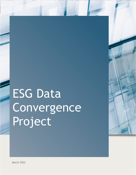# ESG Data Convergence Project



March 2022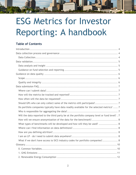## ESG Metrics for Investor Reporting: A handbook

mmmm

## **Table of Contents**

| Should GPs who can only collect some of the metrics still participate? 7                       |
|------------------------------------------------------------------------------------------------|
| Do portfolio companies typically have data readily available for the selected metrics?  7      |
|                                                                                                |
| Will the data reported to the third party be at the portfolio company level or fund level? . 7 |
| How will we ensure anonymization of the data for the benchmark? 8                              |
| What types of benchmarks will be developed and how will they be used?  8                       |
|                                                                                                |
|                                                                                                |
|                                                                                                |
| What if we don't have access to SICS industry codes for portfolio companies? 8                 |
|                                                                                                |
|                                                                                                |
|                                                                                                |
|                                                                                                |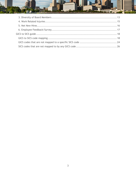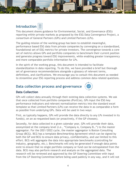<span id="page-3-0"></span>

| <b>Introduction</b> |  |
|---------------------|--|
|---------------------|--|

This document shares guidance for Environmental, Social, and Governance (ESG) reporting within private markets as proposed by the ESG Data Convergence Project, a consortium of General Partners (GPs) and Limited Partners (LPs).

1111111111111

The guiding mission of the working group has been to establish meaningful, performance based ESG data from private companies by converging on a standardized, foundational set of ESG metrics for private investors. The convergence towards a core set of metrics allows GPs and portfolio companies to benchmark their current position and generate progress toward ESG improvements, while enabling greater transparency and more comparable portfolio information for LPs.

In the spirit of the working group, this document is intended to facilitate standardization in data reporting. To do this, we have provided a brief but thorough set of governance recommendations alongside a glossary of relevant terms, definitions, and clarifications. We encourage you to consult this document as needed to streamline your ESG reporting process and address common data-related questions.

## <span id="page-3-1"></span>**Data collection process and governance**



## <span id="page-3-2"></span>**Data Collection**

GPs will collect data annually through their existing data collection systems. We ask that once collected from portfolio companies (PortCos), GPs input the ESG key performance indicators and relevant normalization metrics into the standard excel template so that Limited Partners (LPs) can receive the data in as comparable a form as possible from underlying GPs. Data will be used in two ways:

First, as typically happens, GPs will provide the data directly to any LPs invested in its fund(s), on an as-requested basis (or proactively, if the GP chooses).

Secondly, for data collected in a given calendar year, GPs will provide their data, anonymized at the company level (i.e., "Company A, Company B…") to the master aggregator. For the 2021/2022 cycle, the master aggregator is Boston Consulting Group (BCG). BCG has a template *Benchmarking Agreement* which can be signed by both the GP and BCG to ensure data privacy, confidentiality, and use limited to this effort. BCG will aggregate the data into appropriate benchmarks (controlling for industry, geography, etc.). Benchmarks will only be generated if enough data points exist to ensure that no single portfolio company or fund can be extrapolated from the data. BCG may also perform research and analysis on the aggregated data. The research will be reviewed and approved by the GP Steering Committee with input from the LP Steering Committee before being used publicly in any way, and it will not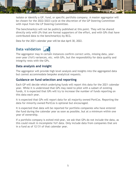

isolate or identify a GP, fund, or specific portfolio company. A master aggregator will be chosen for the 2022/2023 cycle at the discretion of the GP Steering Committee with input from the LP Steering Committee.

The benchmark(s) will not be publicly published at this point. They will be shared directly only with LPs that are formal supporters of the effort, and with GPs that have contributed data to the benchmark(s) by BCG.

Data for the 2021 calendar year will be due April 30, 2022.

## <span id="page-4-0"></span>**Data validation**



The aggregator may in certain instances confirm correct units, missing data, yearover-year (YoY) variances, etc. with GPs, but the responsibility for data quality and integrity rests with the GPs.

#### <span id="page-4-1"></span>**Data analysis and insight**

The aggregator will provide high level analysis and insights into the aggregated data but cannot accommodate bespoke analytical requests.

#### <span id="page-4-2"></span>**Guidance on fund selection and reporting**

Each GP will decide which underlying funds will report this data for the 2021 calendar year. While it is understood that GPs may need to pilot with a subset of existing funds, it is expected that GPs will try to increase the number of funds reporting on this data each year.

It is expected that GPs will report data for all majority owned PortCos. Reporting the data for minority owned PortCos is optional but encouraged.

It is expected that data will be reported for portfolio companies who have entered the fund during the calendar year as soon as possible, but at a minimum within one year of ownership.

If a portfolio company is exited mid-year, we ask that GPs do not include the data, as this could result in incomplete YoY data. Only include data from companies that are in a fund as of 12/31 of that calendar year.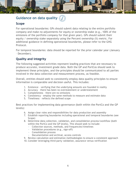## <span id="page-5-0"></span>**Guidance on data quality**

#### <span id="page-5-1"></span>**Scope**

For operational boundaries: GPs should submit data relating to the entire portfolio company and make no adjustments for equity or ownership stake (e.g., 100% of the emissions of the portfolio company for that given year). GPs should submit their equity / ownership stake separately using the Percent ownership (%) metric. For additional guidance in defining operational boundaries, please refer to the GHG Protocol.

**MINIMIN** 

For temporal boundaries: data should be reported for the prior calendar year (January – December).

## <span id="page-5-2"></span>**Quality and integrity**

The following suggested activities represent leading practices that are necessary to produce accurate, investment grade data. Both the GP and PortCos should seek to implement these principles, and the principles should be communicated to all parties involved in the data collection and measurement process, as feasible.

Overall, entities should seek to consistently employ data quality principles to ensure information is comparable and decision useful. This includes:

- 1. Existence verifying that the underlying amounts are founded in reality
- 2. Accuracy there has been no overstatement or understatement
- 3. Completeness there are no omissions
- 4. Consistency employ the same methods to measure and estimate data
- 5. Timeliness reflects the defined scope

Best practices for implementing data governance (both within the PortCo and the GP levels):

- 6. Assign clear roles and responsibilities for data production and assembly
- 7. Establish reporting boundaries including operational and temporal boundaries (see Scope)
- 8. Determine data collection, validation, and consolidation process/workflow (both within the PortCo and the GP levels). This should seek to include:
	- Collection sources, methods, and frequencies/timelines
	- Validation procedures (e.g., sign-off)
	- Consolidation process
	- Documentation and archival, access controls
- 9. Review calculation and estimation methodologies to ensure a consistent approach
- 10. Consider leveraging third-party validation, assurance versus verification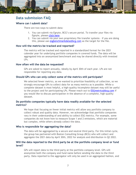

## <span id="page-6-0"></span>**Data submission FAQ**

#### <span id="page-6-1"></span>**Where can I submit data?**

There are two ways to submit data:

- 1. You can submit via Egnyte, BCG's secure portal. To transfer your files via Egnyte, please [click here.](https://protect-us.mimecast.com/s/DABqC4x9gESBv2LDwcOTN1I)
- 2. You can submit via your own proprietary file transfer systems if you are doing this, please use esgbenchmarkdata@bcg.com as the target for the file.

#### <span id="page-6-2"></span>**How will the metrics be tracked and reported?**

The metrics will be tracked and reported in a standardized format for the 2021 calendar year for underlying portfolio companies in covered funds. The data will be aggregated into an anonymized benchmark and may be shared directly with invested LPs.

#### <span id="page-6-3"></span>**How often will the data be requested?**

GPs are asked to report annually, ideally by April 30th of each year. LPs are not responsible for reporting any data.

#### <span id="page-6-4"></span>**Should GPs who can only collect some of the metrics still participate?**

We selected fewer metrics, as we wanted to prioritize feasibility of collection, so we strongly encourage GPs to collect data for as many metrics as is possible. While a complete dataset is most helpful, a high-quality incomplete dataset may still be useful to the project and for participating LPs. Please reach out to ESGmetrics@bcg.com if you would like to discuss participation in the absence of a complete, high-quality dataset.

#### <span id="page-6-5"></span>**Do portfolio companies typically have data readily available for the selected metrics?**

We hope that focusing on fewer initial metrics will allow any portfolio company to collect robust and quality data. However, we acknowledge that portfolio companies vary in their understanding of and ability to collect ESG metrics. For example, some companies do not know how to measure Scope 1 and 2 emissions, which are material but complex, while others already collect the data.

#### <span id="page-6-6"></span>**Who is responsible for aggregating the data?**

The data will be aggregated by a secure and neutral third party. For this initial cycle, the group has partnered with Boston Consulting Group (BCG) who will collect and aggregate the 2021 data by April 30th, 2022 for analysis and distribution in Q2 2022.

#### <span id="page-6-7"></span>**Will the data reported to the third party be at the portfolio company level or fund level?**

GPs will report data to the third party at the portfolio company level. GPs will anonymize both the company and fund name before sending the data to the third party. Data reported to the aggregator will only be used in an aggregated fashion, and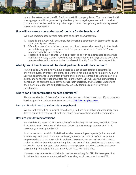

cannot be extracted at the GP, fund, or portfolio company level. The data shared with the aggregator will be governed by the data privacy legal agreement with the third party and cannot be used for any other applications. Data privacy and security are of the utmost importance.

#### <span id="page-7-0"></span>**How will we ensure anonymization of the data for the benchmark?**

We have implemented several measures to ensure anonymization:

- 1. There is and always will be a legal benchmarking agreement in place centered on data security and privacy.
- 2. GPs will anonymize both the company and fund names when sending to the thirdparty data aggregator to ensure the third party is not able to "back into" any company-specific information.
- 3. Research, if publicly shared, will be presented only in an aggregated format that highlights industry trends. Note that non-anonymized or non-aggregated portfolio company data will continue to be transferred directly from GPs to invested LPs.

#### <span id="page-7-1"></span>**What types of benchmarks will be developed and how will they be used?**

Participating GPs and LPs will have access to a set of standardized benchmarks showing industry averages, medians, and trends over time using normalizers. GPs will use the benchmarks to understand where their portfolio companies stand relative to peers, and to identify opportunities for improvement. LPs will use the standardized benchmark to compare data points across their portfolio, and to better understand their portfolio exposure and performance on ESG domains relative to various benchmarks.

#### <span id="page-7-2"></span>**Where can I find information on data definitions?**

Please see the list of data definitions in the data submission sheet, and if you have any further questions, please feel free to contact **ESGMetrics@bcg.com.** 

#### <span id="page-7-4"></span>**I am an LP - do I need to submit data anywhere?**

We are not asking LPs to submit data directly, but we do ask that you encourage your GPs to commit to the project and contribute data from their portfolio companies.

#### <span id="page-7-3"></span>**How are you defining attrition?**

We are defining attrition as the number of FTE leaving the business, excluding those from M&A, over the course of the year divided by the average number of FTEs in previous year multiplied by 100.

In some contexts, attrition is defined as when an employee departs (voluntary and involuntary) and their role is not replaced, whereas turnover is defined as when an employee departs and their role is replaced. However, we are not requiring GPs to make this distinction when submitting data; we are defining attrition as the movement of people, given that open roles do not employ people, and there can be ambiguity surrounding role definitions that may be difficult to standardize.

However, one nuance for attrition is that we are asking for FTE. For example, if an individual left who was employed half-time, they would count as half an FTE.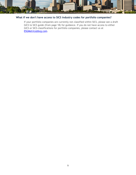

#### **What if we don't have access to SICS industry codes for portfolio companies?**

If your portfolio companies are currently not classified within SICS, please see a draft GICS to SICS guide (from page 18) for guidance. If you do not have access to either GICS or SICS classifications for portfolio companies, please contact us at ESGMetrics@bcg.com.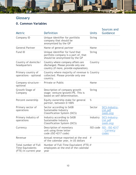## <span id="page-9-0"></span>**Glossary**

## <span id="page-9-1"></span>**0. Common Variables**

| Metric                                                                   | <b>Definition</b>                                                                                                   | <b>Units</b>  | Sources and<br>Guidance                        |
|--------------------------------------------------------------------------|---------------------------------------------------------------------------------------------------------------------|---------------|------------------------------------------------|
| Company ID                                                               | Unique identifier for portfolio<br>company that should be<br>anonymized by the GP                                   | <b>String</b> |                                                |
| <b>General Partner</b>                                                   | Name of general partner                                                                                             | Name          |                                                |
| Fund ID                                                                  | Unique identifier for fund that<br>portfolio company is a part of, that<br>should be anonymized by the GP           | <b>String</b> |                                                |
| Country of domicile/<br>headquarters                                     | Country where company affairs are<br>discharged. Please provide only one<br>country (if more, provide explanation). | Country       |                                                |
| Primary country of<br>operations - optional                              | Country where majority of revenue is Country<br>collected. Please provide only one<br>country.                      |               |                                                |
| Company structure -<br>optional                                          | <b>Private or Public</b>                                                                                            | Name          |                                                |
| Growth Stage of<br>Company                                               | Description of company growth<br>stage: venture/growth/PE. This is<br>based on self-determination.                  | <b>String</b> |                                                |
| Percent ownership                                                        | Equity ownership stake for general<br>partner, between 0-100%                                                       | $\%$          |                                                |
| Primary sector of<br>operations                                          | Sector according to SASB<br>Sustainable Industry<br><b>Classification System (SICS)</b>                             | Sector        | SICS-Industry-<br>List.pdf<br>(sasb.org)       |
| Primary industry of<br>operations                                        | Industry according to SASB<br>Sustainable Industry<br><b>Classification System (SICS)</b>                           | Industry      | SICS-Industry-<br>List.pdf<br>(sasb.org)       |
| Currency                                                                 | Description of monetary<br>unit using three letter<br>code (ISO 4217 code)                                          |               | ISO code ISO - ISO 4217<br>– Currency<br>codes |
| Revenue                                                                  | Annual revenue reported at the end<br>of the calendar year, in US dollars                                           | #             |                                                |
| Total number of Full<br><b>Time Equivalents</b><br>(FTE) in current year | Number of Full-Time Equivalent (FTE) $#$<br>employees at the end of the calendar<br>year                            |               |                                                |

**Tillinooni** 

**ESL**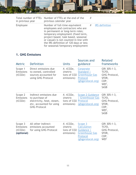

| in previous year | Total number of FTEs Number of FTEs at the end of the<br>previous calendar year                                                                                                                                                                                                                              |                  |
|------------------|--------------------------------------------------------------------------------------------------------------------------------------------------------------------------------------------------------------------------------------------------------------------------------------------------------------|------------------|
| Employee         | Number of full-time equivalent<br>employees and contractors who are<br>in permanent or long-term roles;<br>temporary employment (fixed term,<br>project based, task based, seasonal<br>or casual) is not counted in line with<br>the IRS definition of 120 days or less<br>for seasonal/temporary employment | # IRS definition |

## <span id="page-10-0"></span>**1. GHG Emissions**

| <b>Metric</b>                                 | <b>Definition</b>                                                                                                        | <b>Units</b>                                                     | Sources and<br>guidance                                                                                    | <b>Related</b><br>frameworks                                                   |
|-----------------------------------------------|--------------------------------------------------------------------------------------------------------------------------|------------------------------------------------------------------|------------------------------------------------------------------------------------------------------------|--------------------------------------------------------------------------------|
| Scope 1<br><b>Emissions</b><br>(tCO2e)        | Direct emissions due<br>to owned, controlled<br>sources accounted for<br>using GHG Protocol                              | $#$ , tCO2e,<br>(metric<br>tons of CO2<br>emissions)             | Corporate<br><b>Standard</b><br><b>Greenhouse Gas</b><br>Protocol<br>(ghgprotocol.org)                     | GRI 305:1-3,<br>TCFD,<br>GHG Protocol,<br>SFDR,<br>CDP,<br>WEF,<br><b>SASB</b> |
| Scope 2<br><b>Emissions</b><br>(tCO2e)        | Indirect emissions due<br>to purchase of<br>electricity, heat, steam,<br>etc. accounted for using<br><b>GHG Protocol</b> | $\#$ , tCO2e,<br>(metric)<br>tons of CO2 Protocol<br>emissions)  | <b>Scope 2 Guidance</b><br>  Greenhouse Gas<br>(ghgprotocol.org)                                           | GRI 305:1-3,<br>TCFD,<br>GHG Protocol,<br>SFDR,<br>CDP,<br>WEF,<br><b>SASB</b> |
| Scope 3<br>Emissions<br>(tCO2e)<br>(optional) | All other indirect<br>emissions accounted<br>for using GHG Protocol                                                      | $#$ , tCO2e,<br>(metric<br>tons of CO <sub>2</sub><br>emissions) | Scope 3<br><b>Calculation</b><br><b>Guidance</b><br><b>Greenhouse Gas</b><br>Protocol<br>(ghgprotocol.org) | GRI 305:1-3,<br>TCFD,<br>GHG Protocol,<br>SFDR,<br>CDP,<br><b>WEF</b>          |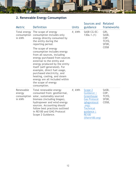

## <span id="page-11-0"></span>**2. Renewable Energy Consumption**

| <b>Metric</b>                                | <b>Definition</b>                                                                                                                                                                                                                                                                                                                                                                      | <b>Units</b> | Sources and<br>guidance                                                                                                                                | <b>Related</b><br>frameworks             |                                  |                                         |
|----------------------------------------------|----------------------------------------------------------------------------------------------------------------------------------------------------------------------------------------------------------------------------------------------------------------------------------------------------------------------------------------------------------------------------------------|--------------|--------------------------------------------------------------------------------------------------------------------------------------------------------|------------------------------------------|----------------------------------|-----------------------------------------|
| in kWh                                       | Total energy The scope of energy<br>consumption consumption includes only<br>energy directly consumed by<br>the entity during the<br>reporting period.                                                                                                                                                                                                                                 | $#$ , kWh    |                                                                                                                                                        |                                          | <b>SASB CG-EC-</b><br>130a.1.(1) | GRI,<br>SASB,<br>CDP,<br>TCFD,<br>SFDR, |
|                                              | The scope of energy<br>consumption includes energy<br>from all sources, including<br>energy purchased from sources<br>external to the entity and<br>energy produced by the entity<br>itself (self-generated). For<br>example, direct fuel usage,<br>purchased electricity, and<br>heating, cooling, and steam<br>energy are all included within<br>the scope of energy<br>consumption. |              |                                                                                                                                                        | <b>CDSB</b>                              |                                  |                                         |
| Renewable<br>energy<br>consumption<br>in kWh | Total renewable energy<br>consumed from: geothermal,<br>solar, sustainably sourced<br>biomass (including biogas),<br>hydropower and wind energy<br>sources. Accounting should<br>follow best practices outlined<br>in RE100 and GHG Protocol<br>Scope 2 Guidance.                                                                                                                      | $#$ , kWh    | Scope 2<br>Guidance  <br>Greenhouse<br><b>Gas Protocol</b><br>(ghgprotocol<br>.org);<br><b>Technical</b><br>guidance<br><b>RE100</b><br>(there100.org) | SASB,<br>CDP,<br>TCFD,<br>SFDR,<br>CDSB, |                                  |                                         |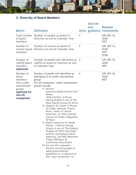

## <span id="page-12-0"></span>**3. Diversity of Board Members**

|                                                                                                                |                                                                                                                                                                                                                                                                                                                                                                                                                                                                                                                                                                                                                                                                                                                                                                                                                                                                                     |   | <b>Sources</b><br>and | Related                                                 |
|----------------------------------------------------------------------------------------------------------------|-------------------------------------------------------------------------------------------------------------------------------------------------------------------------------------------------------------------------------------------------------------------------------------------------------------------------------------------------------------------------------------------------------------------------------------------------------------------------------------------------------------------------------------------------------------------------------------------------------------------------------------------------------------------------------------------------------------------------------------------------------------------------------------------------------------------------------------------------------------------------------------|---|-----------------------|---------------------------------------------------------|
| <b>Metric</b>                                                                                                  | <b>Definition</b>                                                                                                                                                                                                                                                                                                                                                                                                                                                                                                                                                                                                                                                                                                                                                                                                                                                                   |   |                       | Units guidance frameworks                               |
| of board<br>members                                                                                            | Total number Number of people on board of<br>directors at end of Calendar Year                                                                                                                                                                                                                                                                                                                                                                                                                                                                                                                                                                                                                                                                                                                                                                                                      | # |                       | GRI 405-1b,<br><b>SASB</b><br><b>WEF</b>                |
| Number of<br>women board<br>members                                                                            | Number of women on board of<br>directors at end of Calendar Year                                                                                                                                                                                                                                                                                                                                                                                                                                                                                                                                                                                                                                                                                                                                                                                                                    | # |                       | GRI 405-1b,<br><b>SASB</b><br><b>WEF</b><br><b>SFDR</b> |
| Number of<br>LGBTQ board<br>members<br>(optional)                                                              | Number of people self-identified as<br>LGBTQ on board of directors at end<br>of Calendar Year                                                                                                                                                                                                                                                                                                                                                                                                                                                                                                                                                                                                                                                                                                                                                                                       | # |                       | GRI 405-1b,<br><b>SASB</b><br><b>WEF</b>                |
| Number of<br>board<br>members<br>from under-<br>represented<br>groups<br>(optional for<br>non-US<br>companies) | Number of people self-identified as<br>belonging to an under-represented<br>group:<br>For US Companies, under-represented<br>groups include:<br>11. African<br>American/Black/African/Cari<br>bbean<br>/Black British: A Person<br>Having Origins in Any of The<br><b>Black Racial Groups Of Africa</b><br>12. Hispanic Or Latino: A Person<br>of Cuban, Mexican, Puerto<br>Rican, South or Central<br>American, Or Other Spanish<br>Culture Or Origin, Regardless<br>Of Race<br>13. Native American Or Alaska<br>Native: A Person Having<br>Origins in Any of The Original<br>Peoples Of North And South<br>America (Including Central<br>America), And Who Maintains<br><b>Tribal Affiliation Or</b><br><b>Community Attachment</b><br>14. For non-US companies:<br>PortCos are encouraged to<br>adopt governmental<br>guidelines or, in absence of<br>this, local convention; no | # |                       | GRI 405-1b,<br><b>SASB</b><br><b>WEF</b>                |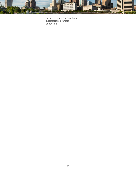

data is expected where local jurisdictions prohibit collection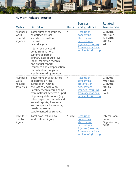

## <span id="page-14-0"></span>**4. Work Related Injuries**

| <b>Metric</b>                               | <b>Definition</b>                                                                                                                                                                                                                                                                                                                                | <b>Units</b> | <b>Sources</b><br>and guidance                                                                                                       | <b>Related</b><br>frameworks                                                            |                                                               |
|---------------------------------------------|--------------------------------------------------------------------------------------------------------------------------------------------------------------------------------------------------------------------------------------------------------------------------------------------------------------------------------------------------|--------------|--------------------------------------------------------------------------------------------------------------------------------------|-----------------------------------------------------------------------------------------|---------------------------------------------------------------|
| Number of<br>work-<br>related<br>injuries   | Total number of injuries,<br>as defined by local<br>jurisdiction, within<br>the last<br>calendar year.                                                                                                                                                                                                                                           | #            |                                                                                                                                      | <b>Resolution</b><br>concerning<br>statistics of<br>occupational<br>injuries (resulting | GRI:2018<br>403-9a&b,<br>GRI:2018<br>$403 - 6a$<br><b>WEF</b> |
|                                             | Injury records could<br>come from national<br>systems as part of<br>primary data source (e.g.,<br>labor inspection records<br>and annual reports;<br>insurance and compensation<br>records, death registers),<br>supplemented by surveys.                                                                                                        |              | from occupational<br>accidents) (ilo.org)                                                                                            |                                                                                         |                                                               |
| Number of<br>work-<br>related<br>fatalities | Total number of fatalities<br>as defined by local<br>jurisdiction, within<br>the last calendar year.<br>Fatality records could come<br>from national systems as part<br>of primary data source (e.g.,<br>labor inspection records and<br>annual reports; insurance<br>and compensation records,<br>death registers),<br>supplemented by surveys. | #            | <b>Resolution</b><br>concerning<br>statistics of<br>occupational<br>injuries (resulting<br>from occupational<br>accidents) (ilo.org) | GRI:2018<br>403-9a&b,<br>GRI:2018<br>$403 - 6a$<br><b>WEF</b><br><b>SASB</b>            |                                                               |
| Days lost<br>due to<br>injury               | Total days lost due to<br>work-related injury                                                                                                                                                                                                                                                                                                    | $#$ , days   | <b>Resolution</b><br>concerning<br>statistics of<br>occupational<br>injuries (resulting<br>from occupational<br>accidents) (ilo.org) | International<br>Labor<br>Organization,<br><b>OSHA</b>                                  |                                                               |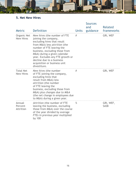

## <span id="page-15-0"></span>**5. Net New Hires**

| <b>Metric</b>                        | Definition                                                                                                                                                                                                                                                                                                                           | <b>Units</b> | <b>Sources</b><br>and<br>guidance | Related<br>frameworks    |
|--------------------------------------|--------------------------------------------------------------------------------------------------------------------------------------------------------------------------------------------------------------------------------------------------------------------------------------------------------------------------------------|--------------|-----------------------------------|--------------------------|
| Organic Net<br><b>New Hires</b>      | New hires (the number of FTE<br>joining the company,<br>excluding hires that result<br>from M&A) less attrition (the<br>number of FTE leaving the<br>business, excluding those from<br>M&A) during a given calendar<br>year. Excludes any FTE growth or<br>decline due to a business<br>acquisition or business unit<br>divestiture. | #            |                                   | GRI, WEF                 |
| <b>Total Net</b><br><b>New Hires</b> | New hires (the number<br>of FTE joining the company,<br>excluding hires that<br>result from M&A) less<br>attrition (the number<br>of FTE leaving the<br>business, excluding those from<br>M&A) plus changes due to M&A<br>(the net change in employees due<br>to M&A) during a given year.                                           | #            |                                   | GRI, WEF                 |
| Annual<br>Percent<br>Attrition       | Attrition (the number of FTE<br>leaving the business, excluding<br>those from M&A) over the course<br>of the year divided by average<br>FTEs in previous year multiplied<br>by 100                                                                                                                                                   | $\%$         |                                   | GRI, WEF,<br><b>SASB</b> |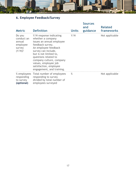

## <span id="page-16-0"></span>**6. Employee Feedback/Survey**

| <b>Metric</b>                                                     | <b>Definition</b>                                                                                                                                                                                                                                                                                         | <b>Units</b> | <b>Sources</b><br>and<br>guidance | <b>Related</b><br>frameworks |
|-------------------------------------------------------------------|-----------------------------------------------------------------------------------------------------------------------------------------------------------------------------------------------------------------------------------------------------------------------------------------------------------|--------------|-----------------------------------|------------------------------|
| Do you<br>conduct an<br>annual<br>employee<br>survey<br>$(Y/N)$ ? | Y/N response indicating<br>whether a company<br>issues an annual employee<br>feedback survey.<br>An employee feedback<br>survey can include,<br>but is not limited to,<br>questions related to<br>company culture, company<br>values, employee job<br>satisfaction, employee<br>engagement, and training. | Y/N          |                                   | Not applicable               |
| % employees<br>responding<br>to survey<br>(optional)              | Total number of employees<br>responding to survey<br>divided by total number of<br>employees surveyed                                                                                                                                                                                                     | $\%$         |                                   | Not applicable               |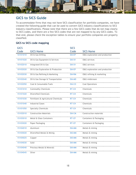

## <span id="page-17-0"></span>**GICS to SICS Guide**

To accommodate firms that may not have SICS classification for portfolio companies, we have created the following guide that can be used to convert GICS industry classifications to SICS industry classifications. Please note that there are a few GICS codes that do not map clearly to SICS codes, and there are a few SICS codes that are not mapped to by any GICS codes. To that end, please check the exception tables to ensure your portfolio companies are properly classified.

#### <span id="page-17-1"></span>**GICS to SICS code mapping**

| <b>GICS</b> |                                      | <b>SICS</b>  |                                |
|-------------|--------------------------------------|--------------|--------------------------------|
| Code        | <b>GICS Name</b>                     | Code         | <b>SICS Name</b>               |
| 10101010    | Oil & Gas Drilling                   | <b>EM-EP</b> | O&G exploration and production |
| 10101020    | Oil & Gas Equipment & Services       | <b>EM-SV</b> | O&G services                   |
| 10102010    | Integrated Oil & Gas                 | <b>EM-SV</b> | O&G services                   |
| 10102020    | Oil & Gas Exploration & Production   | <b>EM-EP</b> | O&G exploration and production |
| 10102030    | Oil & Gas Refining & Marketing       | <b>EM-RM</b> | O&G refining & marketing       |
| 10102040    | Oil & Gas Storage & Transportation   | <b>EM-MD</b> | O&G midstream                  |
| 10102050    | Coal & Consumable Fuels              | <b>EM-CO</b> | <b>Coal Operations</b>         |
| 15101010    | <b>Commodity Chemicals</b>           | <b>RT-CH</b> | Chemicals                      |
| 15101020    | <b>Diversified Chemicals</b>         | <b>RT-CH</b> | Chemicals                      |
| 15101030    | Fertilizers & Agricultural Chemicals | <b>RT-CH</b> | Chemicals                      |
| 15101040    | <b>Industrial Gases</b>              | <b>RT-CH</b> | Chemicals                      |
| 15101050    | <b>Specialty Chemicals</b>           | <b>RT-CH</b> | Chemicals                      |
| 15102010    | <b>Construction Materials</b>        | <b>EM-CM</b> | Construction materials         |
| 15103010    | Metal & Glass Containers             | <b>RT-CP</b> | Containers & Packaging         |
| 15103020    | Paper Packaging                      | <b>RT-CP</b> | Containers & Packaging         |
| 15104010    | Aluminum                             | <b>EM-MM</b> | Metals & mining                |
| 15104020    | Diversified Metals & Mining          | EM-MM        | Metals & mining                |
| 15104025    | Copper                               | <b>EM-MM</b> | Metals & mining                |
| 15104030    | Gold                                 | <b>EM-MM</b> | Metals & mining                |
| 15104040    | Precious Metals & Minerals           | EM-MM        | Metals & mining                |
| 15104045    | Silver                               | EM-MM        | Metals & mining                |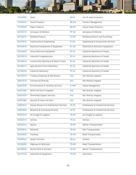| 15104050 | Steel                                 | <b>EM-IS</b> | Iron & steel producers              |
|----------|---------------------------------------|--------------|-------------------------------------|
| 15105010 | <b>Forest Products</b>                | <b>RR-FM</b> | Forestry Management                 |
| 15105020 | <b>Paper Products</b>                 | <b>RR-PP</b> | Pulp & Paper Products               |
| 20101010 | Aerospace & Defense                   | <b>RT-AE</b> | Aerospace & Defense                 |
| 20102010 | <b>Building Products</b>              | <b>CG-BF</b> | Building products and furnishings   |
| 20103010 | Construction & Engineering            | IF-EN        | Engineering & Construction Services |
| 20104010 | Electrical Components & Equipment     | RT-EE        | Electrical & Electronic Equipment   |
| 20104020 | Heavy Electrical Equipment            | RT-IG        | Industrial Machinery & Goods        |
| 20105010 | Industrial Conglomerates              | RT-IG        | Industrial Machinery & Goods        |
| 20106010 | Construction Machinery & Heavy Trucks | RT-IG        | Industrial Machinery & Goods        |
| 20106015 | Agricultural & Farm Machinery         | RT-IG        | Industrial Machinery & Goods        |
| 20106020 | <b>Industrial Machinery</b>           | $RT-IG$      | Industrial Machinery & Goods        |
| 20107010 | Trading Companies & Distributors      | N/A          | Not directly mapped                 |
| 20201010 | <b>Commercial Printing</b>            | N/A          | Not directly mapped                 |
| 20201050 | Environmental & Facilities Services   | IF-WM        | Waste Management                    |
| 20201060 | Office Services & Supplies            | N/A          | Not directly mapped                 |
| 20201070 | <b>Diversified Support Services</b>   | N/A          | Not directly mapped                 |
| 20201080 | Security & Alarm Services             | N/A          | Not directly mapped                 |
| 20202010 | Human Resource & Employment Services  | <b>SV-PS</b> | Professional & Commercial Services  |
| 20202020 | Research & Consulting Services        | <b>SV-PS</b> | Professional & Commercial Services  |
| 20301010 | Air Freight & Logistics               | <b>TR-AF</b> | Air Freight & Logistics             |
| 20302010 | Airlines                              | <b>TR-AL</b> | Airlines                            |
| 20303010 | Marine                                | TR-MT        | Marine Transportation               |
| 20304010 | Railroads                             | <b>TR-RA</b> | Rail Transportation                 |
| 20304020 | Trucking                              | TR-RO        | Road Transportation                 |
| 20305010 | Airport Services                      | <b>TR-AL</b> | Airlines                            |
| 20305020 | Highways & Railtracks                 | TR-RO        | Road Transportation                 |
| 20305030 | Marine Ports & Services               | <b>TR-MT</b> | Marine Transportation               |
| 25101010 | Auto Parts & Equipment                | <b>TR-AP</b> | <b>Auto Parts</b>                   |

**Allingen** 

 $\equiv$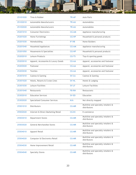|          | المساف                               | MAZA SOLO AND THE | $\mathcal{A}^{\mathcal{A}}$ , $\mathcal{A}^{\mathcal{A}}$ |
|----------|--------------------------------------|-------------------|-----------------------------------------------------------|
| 25101020 | Tires & Rubber                       | <b>TR-AP</b>      | <b>Auto Parts</b>                                         |
| 25102010 | Automobile Manufacturers             | <b>TR-AU</b>      | Automobiles                                               |
| 25102020 | Automobile Manufacturers             | <b>TR-AU</b>      | Automobiles                                               |
| 25201010 | <b>Consumer Electronics</b>          | <b>CG-AM</b>      | Appliance manufacturing                                   |
| 25201020 | Home Furnishings                     | <b>CG-HP</b>      | Household & personal products                             |
| 25201030 | Homebuilding                         | IF-HB             | Home Builders                                             |
| 25201040 | Household Appliances                 | <b>CG-AM</b>      | Appliance manufacturing                                   |
| 25201050 | Housewares & Specialties             | <b>CG-HP</b>      | Household & personal products                             |
| 25202010 | Leisure Products                     | <b>CG-TS</b>      | Toys & sporting goods                                     |
| 25203010 | Apparel, Accessories & Luxury Goods  | <b>CG-AA</b>      | Apparel, accessories and footwear                         |
| 25203020 | Footwear                             | <b>CG-AA</b>      | Apparel, accessories and footwear                         |
| 25203030 | <b>Textiles</b>                      | <b>CG-AA</b>      | Apparel, accessories and footwear                         |
| 25301010 | Casinos & Gaming                     | <b>SV-CA</b>      | Casinos & Gaming                                          |
| 25301020 | Hotels, Resorts & Cruise Lines       | <b>SV-HL</b>      | Hotels & Lodging                                          |
| 25301030 | Leisure Facilities                   | <b>SV-LF</b>      | Leisure Facilities                                        |
| 25301040 | Restaurants                          | <b>FB-RN</b>      | Restaurants                                               |
| 25302010 | <b>Education Services</b>            | <b>SV-ED</b>      | Education                                                 |
| 25302020 | <b>Specialized Consumer Services</b> | N/A               | Not directly mapped                                       |
| 25501010 | <b>Distributors</b>                  | <b>CG-MR</b>      | Multiline and specialty retailers &<br>distributors       |
| 25502020 | Internet & Direct Marketing Retail   | <b>CG-EC</b>      | E-commerce                                                |
| 25503010 | <b>Department Stores</b>             | <b>CG-MR</b>      | Multiline and specialty retailers &<br>distributors       |
| 25503020 | <b>General Merchandise Stores</b>    | <b>CG-MR</b>      | Multiline and specialty retailers &<br>distributors       |
| 25504010 | Apparel Retail                       | <b>CG-MR</b>      | Multiline and specialty retailers &<br>distributors       |
| 25504020 | Computer & Electronics Retail        | <b>CG-MR</b>      | Multiline and specialty retailers &<br>distributors       |
| 25504030 | Home Improvement Retail              | <b>CG-MR</b>      | Multiline and specialty retailers &<br>distributors       |
| 25504040 | <b>Specialty Stores</b>              | <b>CG-MR</b>      | Multiline and specialty retailers &<br>distributors       |

*<u>IIIIIIIIIII</u>*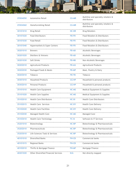| 25504050 | <b>Automotive Retail</b>                    | <b>CG-MR</b> | Multiline and specialty retailers &<br>distributors |  |
|----------|---------------------------------------------|--------------|-----------------------------------------------------|--|
| 25504060 | Homefurnishing Retail                       | <b>CG-MR</b> | Multiline and specialty retailers &<br>distributors |  |
| 30101010 | Drug Retail                                 | <b>HC-DR</b> | <b>Drug Retailers</b>                               |  |
| 30101020 | <b>Food Distributors</b>                    | <b>FB-FR</b> | Food Retailers & Distributors                       |  |
| 30101030 | <b>Food Retail</b>                          | <b>FB-FR</b> | <b>Food Retailers &amp; Distributors</b>            |  |
| 30101040 | Hypermarkets & Super Centers                | <b>FB-FR</b> | Food Retailers & Distributors                       |  |
| 30201010 | <b>Brewers</b>                              | <b>FB-AB</b> | Alcoholic Beverages                                 |  |
| 30201020 | Distillers & Vintners                       | <b>FB-AB</b> | Alcoholic Beverages                                 |  |
| 30201030 | Soft Drinks                                 | <b>FB-NB</b> | Non-Alcoholic Beverages                             |  |
| 30202010 | Agricultural Products                       | <b>FB-AG</b> | <b>Agricultural Products</b>                        |  |
| 30202030 | Packaged Foods & Meats                      | <b>FB-MP</b> | Meat, Poultry & Dairy                               |  |
| 30203010 | Tobacco                                     | <b>FB-TB</b> | Tobacco                                             |  |
| 30301010 | <b>Household Products</b>                   | <b>CG-HP</b> | Household & personal products                       |  |
| 30302010 | <b>Personal Products</b>                    | <b>CG-HP</b> | Household & personal products                       |  |
| 35101010 | Health Care Equipment                       | <b>HC-MS</b> | Medical Equipment & Supplies                        |  |
| 35101020 | <b>Health Care Supplies</b>                 | <b>HC-MS</b> | Medical Equipment & Supplies                        |  |
| 35102010 | <b>Health Care Distributors</b>             | <b>HC-DI</b> | <b>Health Care Distributors</b>                     |  |
| 35102015 | <b>Health Care Services</b>                 | <b>HC-DY</b> | <b>Health Care Delivery</b>                         |  |
| 35102020 | <b>Health Care Facilities</b>               | <b>HC-DY</b> | <b>Health Care Delivery</b>                         |  |
| 35102030 | Managed Health Care                         | HC-MC        | Managed Care                                        |  |
| 35103010 | <b>Health Care Technology</b>               | <b>TC-SI</b> | Software & IT Services                              |  |
| 35201010 | Biotechnology                               | HC-BP        | Biotechnology & Pharmaceuticals                     |  |
| 35202010 | Pharmaceuticals                             | HC-BP        | Biotechnology & Pharmaceuticals                     |  |
| 35203010 | Life Sciences Tools & Services              | HC-BP        | Biotechnology & Pharmaceuticals                     |  |
| 40101010 | <b>Diversified Banks</b>                    | <b>FN-CB</b> | Commercial banks                                    |  |
| 40101015 | Regional Banks                              | <b>FN-CB</b> | Commercial banks                                    |  |
| 40102010 | Thrifts & Mortgage Finance                  | <b>FN-MF</b> | Mortgage Finance                                    |  |
| 40201020 | <b>Other Diversified Financial Services</b> | N/A          | Not directly mapped                                 |  |

mmmmm

Ē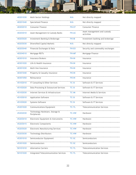| 40201030 | Multi-Sector Holdings                         | N/A          | Not directly mapped                        |
|----------|-----------------------------------------------|--------------|--------------------------------------------|
| 40201040 | <b>Specialized Finance</b>                    | N/A          | Not directly mapped                        |
| 40202010 | <b>Consumer Finance</b>                       | <b>FN-CF</b> | <b>Consumer Finance</b>                    |
| 40203010 | Asset Management & Custody Banks              | <b>FN-AC</b> | Asset management and custody<br>activities |
| 40203020 | Investment Banking & Brokerage                | <b>FN-IB</b> | Investment banking and brokerage           |
| 40203030 | Diversified Capital Markets                   | N/A          | Not directly mapped                        |
| 40203040 | Financial Exchanges & Data                    | <b>FN-EX</b> | Security and commodity exchanges           |
| 40204010 | Mortgage REITs                                | <b>FN-MF</b> | Mortgage Finance                           |
| 40301010 | <b>Insurance Brokers</b>                      | <b>FN-IN</b> | Insurance                                  |
| 40301020 | Life & Health Insurance                       | <b>FN-IN</b> | Insurance                                  |
| 40301030 | Multi-line Insurance                          | <b>FN-IN</b> | Insurance                                  |
| 40301040 | Property & Casualty Insurance                 | <b>FN-IN</b> | Insurance                                  |
| 40301050 | Reinsurance                                   | <b>FN-IN</b> | Insurance                                  |
| 45102010 | IT Consulting & Other Services                | <b>TC-SI</b> | Software & IT Services                     |
| 45102020 | Data Processing & Outsourced Services         | <b>TC-SI</b> | Software & IT Services                     |
| 45102030 | Internet Services & Infrastructure            | <b>TC-IM</b> | Internet Media & Services                  |
| 45103010 | <b>Application Software</b>                   | <b>TC-SI</b> | Software & IT Services                     |
| 45103020 | Systems Software                              | <b>TC-SI</b> | Software & IT Services                     |
| 45201020 | <b>Communications Equipment</b>               | <b>TC-TL</b> | <b>Telecommunication Services</b>          |
| 45202030 | Technology Hardware, Storage &<br>Peripherals | <b>TC-HW</b> | Hardware                                   |
| 45203010 | Electronic Equipment & Instruments            | <b>TC-HW</b> | Hardware                                   |
| 45203015 | <b>Electronic Components</b>                  | <b>TC-HW</b> | Hardware                                   |
| 45203020 | <b>Electronic Manufacturing Services</b>      | <b>TC-HW</b> | Hardware                                   |
| 45203030 | <b>Technology Distributors</b>                | <b>TC-HW</b> | Hardware                                   |
| 45301010 | Semiconductor Equipment                       | <b>TC-SC</b> | Semiconductors                             |
| 45301020 | Semiconductors                                | <b>TC-SC</b> | Semiconductors                             |
| 50101010 | <b>Alternative Carriers</b>                   | <b>TC-TL</b> | <b>Telecommunication Services</b>          |
| 50101020 | <b>Integrated Telecommunication Services</b>  | <b>TC-TL</b> | <b>Telecommunication Services</b>          |

**MINIMUM**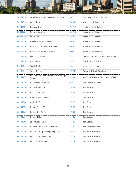| 50102010 | <b>Wireless Telecommunication Services</b>             | <b>TC-TL</b> | <b>Telecommunication Services</b>       |
|----------|--------------------------------------------------------|--------------|-----------------------------------------|
| 50201010 | Advertising                                            | <b>SV-AD</b> | Advertising & Marketing                 |
| 50201020 | Broadcasting                                           | <b>SV-ME</b> | Media & Entertainment                   |
| 50201030 | Cable & Satellite                                      | <b>SV-ME</b> | Media & Entertainment                   |
| 50201040 | Publishing                                             | <b>SV-ME</b> | Media & Entertainment                   |
| 50202010 | Movies & Entertainment                                 | <b>SV-ME</b> | Media & Entertainment                   |
| 50202020 | Interactive Home Entertainment                         | <b>SV-ME</b> | Media & Entertainment                   |
| 50203010 | Interactive Media & Services                           | <b>SV-ME</b> | Media & Entertainment                   |
| 55101010 | <b>Electric Utilities</b>                              | <b>IF-EU</b> | Electric Utilities & Power Generators   |
| 55102010 | <b>Gas Utilities</b>                                   | <b>IF-GU</b> | <b>Gas Utilities &amp; Distributors</b> |
| 55103010 | Multi-Utilities                                        | N/A          | Not directly mapped                     |
| 55104010 | <b>Water Utilities</b>                                 | IF-WU        | Water Utilities & Services              |
| 55105010 | Independent Power Producers & Energy<br><b>Traders</b> | <b>IF-EU</b> | Electric Utilities & Power Generators   |
| 55105020 | Renewable Electricity                                  | N/A          | Not directly mapped                     |
| 60101010 | Diversified REITs                                      | IF-RE        | Real Estate                             |
| 60101020 | <b>Industrial REITs</b>                                | IF-RE        | Real Estate                             |
| 60101030 | Hotel & Resort REITs                                   | IF-RE        | Real Estate                             |
| 60101040 | Office REITs                                           | IF-RE        | Real Estate                             |
| 60101050 | <b>Health Care REITs</b>                               | IF-RE        | <b>Real Estate</b>                      |
| 60101060 | <b>Residential REITs</b>                               | IF-RE        | Real Estate                             |
| 60101070 | <b>Retail REITs</b>                                    | IF-RE        | Real Estate                             |
| 60101080 | Specialized REITs                                      | IF-RE        | <b>Real Estate</b>                      |
| 60102010 | Diversified Real Estate Activities                     | IF-RS        | <b>Real Estate Services</b>             |
| 60102020 | Real Estate Operating Companies                        | IF-RS        | <b>Real Estate Services</b>             |
| 60102030 | Real Estate Development                                | IF-RS        | <b>Real Estate Services</b>             |
| 60102040 | <b>Real Estate Services</b>                            | IF-RS        | Real Estate Services                    |

**Minimum** 

E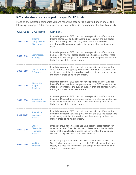

#### <span id="page-23-0"></span>**GICS codes that are not mapped to a specific SICS code**

If one of the portfolio companies you are reporting data for is classified under one of the following unmapped GICS codes, please see instructions in the comment for how to classify.

|          | <b>GICS Code GICS Name</b>                                                | Comment                                                                                                                                                                                                                                                                            |
|----------|---------------------------------------------------------------------------|------------------------------------------------------------------------------------------------------------------------------------------------------------------------------------------------------------------------------------------------------------------------------------|
| 20107010 | <b>Trading</b><br>Companies &<br><b>Distributors</b>                      | Industrial group for SICS does not have specific classification for<br>trading companies and distributors; please select the sub-sector<br>that most closely matches the good or service of trade or<br>distribution the company derives the highest share of its revenue<br>from. |
| 20201010 | Commercial<br>Printing                                                    | Industrial group for SICS does not have specific classification for<br>Commercial Printing; please select the SICS sub-sector that most<br>closely matches the good or service that the company derives the<br>highest share of its revenue from.                                  |
| 20201060 | <b>Office Services</b><br>& Supplies                                      | Industrial group for SICS does not have specific classification for<br>Office Services & Supplies; please select the SICS sub-sector that<br>most closely matches the good or service that the company derives<br>the highest share of its revenue from.                           |
| 20201070 | <b>Diversified</b><br>Support<br><b>Services</b>                          | Industrial group for SICS does not have specific classification for<br>Diversified Support Services; please select the SICS sub-sector that<br>most closely matches the type of support that the company derives<br>the highest share of its revenue from.                         |
| 20201080 | Security &<br><b>Alarm Services</b>                                       | Industrial group for SICS does not have specific classification for<br>Diversified Support Services; please select the SICS sub-sector that<br>most closely matches the service that the company derives the<br>highest share of its revenue from.                                 |
| 25302020 | Specialized<br>Consumer<br><b>Services</b>                                | Industrial group for SICS does not have specific classification for<br>Diversified Support Services; please select the SICS sub-sector that<br>most closely matches the service that the company derives the<br>highest share of its revenue from.                                 |
| 40201020 | <b>Other</b><br><b>Diversified</b><br><b>Financial</b><br><b>Services</b> | Financial group for SICS does not have specific classification for<br>Other Diversified Financial Services; please select the SICS sub-<br>sector that most closely matches the service that the company<br>derives the highest share of its revenue from.                         |
| 40201030 | <b>Multi-Sector</b><br><b>Holdings</b>                                    | Financial group for SICS does not have specific classification for<br>Multi-Sector Holdings; please select the SICS sub-sector that most<br>closely matches the service that the company derives the highest<br>share of its revenue from.                                         |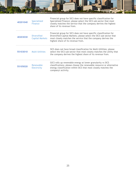|          |                                              | and the birds of the the second distribution of the second second later of the second                                                                                                                                                            |
|----------|----------------------------------------------|--------------------------------------------------------------------------------------------------------------------------------------------------------------------------------------------------------------------------------------------------|
| 40201040 | Specialized<br><b>Finance</b>                | Financial group for SICS does not have specific classification for<br>Specialized Finance; please select the SICS sub-sector that most<br>closely matches the service that the company derives the highest<br>share of its revenue from.         |
| 40203030 | <b>Diversified</b><br><b>Capital Markets</b> | Financial group for SICS does not have specific classification for<br>Diversified Capital Markets; please select the SICS sub-sector that<br>most closely matches the service that the company derives the<br>highest share of its revenue from. |
| 55103010 | <b>Multi-Utilities</b>                       | SICS does not have broad classification for Multi-Utilities; please<br>select the SICS sub-sector that most closely matches the utility that<br>the company derives the highest share of its revenue from.                                       |
| 55105020 | Renewable<br>Electricity                     | GICS rolls up renewable energy at lower granularity vs SICS<br>classifications; please choose the renewable resource or alternative<br>energy classification within SICS that most closely matches the<br>company's activity.                    |

**MINIMIN**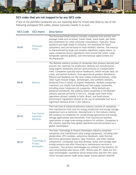

#### <span id="page-25-0"></span>**SICS codes that are not mapped to by any GICS code**

If one of the portfolio companies you are reporting data for is best described by one of the following unmapped SICS codes, please manually classify it as such.

| <b>SICS Code</b> | <b>SICS Name</b>                                          | <b>Description</b>                                                                                                                                                                                                                                                                                                                                                                                                                                                                                                                                                                                                                                                                                                                                                                                                                                                                                                                                                                                                                         |
|------------------|-----------------------------------------------------------|--------------------------------------------------------------------------------------------------------------------------------------------------------------------------------------------------------------------------------------------------------------------------------------------------------------------------------------------------------------------------------------------------------------------------------------------------------------------------------------------------------------------------------------------------------------------------------------------------------------------------------------------------------------------------------------------------------------------------------------------------------------------------------------------------------------------------------------------------------------------------------------------------------------------------------------------------------------------------------------------------------------------------------------------|
| <b>FB-PF</b>     | Processed<br><b>Foods</b>                                 | The Processed Foods industry includes companies that process and<br>package foods such as bread, frozen foods, snack foods, pet foods,<br>and condiments for retail consumer consumption. Typically, these<br>products are made ready to consume, are marketed for retail<br>consumers, and can be found on food retailers' shelves. The industry<br>is characterized by large and complex ingredient supply chains, as<br>many companies source ingredients from around the world. Large<br>companies operate globally, and international opportunities are<br>driving growth.                                                                                                                                                                                                                                                                                                                                                                                                                                                            |
| <b>RR-BI</b>     | <b>Biofuels</b>                                           | The Biofuels industry consists of companies that produce biofuels and<br>process raw materials for production. Biofuels are manufactured<br>using organic feedstocks and are used primarily as transportation<br>fuels. Companies typically source feedstocks, which include food, oil<br>crops, and animal products, from agricultural product distributors.<br>Ethanol and biodiesel are the most widely produced biofuels, while<br>other types include biogas, biohydrogen, and synthetic biofuels,<br>produced from a variety of organic feedstocks. Biofuels companies'<br>customers are chiefly fuel-blending and fuel-supply companies,<br>including major integrated oil companies. While biofuels are<br>produced worldwide, the publicly listed companies in the Biofuels<br>industry operate primarily in the U.S., though some have minor<br>operations abroad, notably in India, Brazil, and South Korea.<br>Government regulations related to the use of renewable fuel are a<br>significant demand driver in the industry. |
| <b>RR-FC</b>     | <b>Fuel Cells &amp;</b><br>Industrial<br><b>Batteries</b> | The Fuel Cells & Industrial Batteries industry consists of companies<br>that manufacture fuel cells for energy production and energy storage<br>equipment such as batteries. Manufacturers in this industry mainly<br>sell products to companies for varied energy-generation and energy-<br>storage applications and intensities, from commercial business<br>applications to large-scale energy projects for utilities. Companies in<br>the industry typically have global operations and sell products to a<br>global marketplace.                                                                                                                                                                                                                                                                                                                                                                                                                                                                                                      |
| <b>RR-ST</b>     | Solar<br>Technology &<br>Project<br><b>Developers</b>     | The Solar Technology & Project Developers industry comprises<br>companies that manufacture solar energy equipment, including solar<br>photovoltaic (PV) modules, polysilicon feedstock, solar thermal<br>electricity-generation systems, solar inverters, and other related<br>components. Companies may also develop, build, and manage solar<br>energy projects and offer financing or maintenance services to<br>customers. Two primary technologies are utilized in the industry: PV<br>and concentrated solar power (CSP). Within solar PV, there are two<br>main technologies: crystalline silicon-based solar and thin-film solar,<br>which includes panels made using copper indium gallium selenide                                                                                                                                                                                                                                                                                                                               |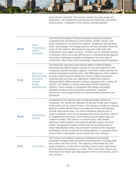and cadmium telluride. The primary markets for solar panels are residential, non-residential (commercial and industrial), and utilityscale projects. Companies in the industry operate globally.

**THIBBBBBB** 

| <b>RR-WT</b> | Wind<br>Technology &<br>Project<br><b>Developers</b>                                           | The Wind Technology & Project Developers industry comprises<br>companies that manufacture wind turbines, blades, towers, and<br>other components of wind power systems. Companies that develop,<br>build, and manage wind energy projects are also included within the<br>scope of this industry. Manufacturers may also offer post-sale<br>maintenance and support services. Turbines can be installed onshore<br>or offshore, which can cause differences in wind-generating capacity<br>and create challenges in project development for each type of<br>installation. Most major wind technology companies operate globally.                                                                                                                                                                                                                                                                                           |
|--------------|------------------------------------------------------------------------------------------------|----------------------------------------------------------------------------------------------------------------------------------------------------------------------------------------------------------------------------------------------------------------------------------------------------------------------------------------------------------------------------------------------------------------------------------------------------------------------------------------------------------------------------------------------------------------------------------------------------------------------------------------------------------------------------------------------------------------------------------------------------------------------------------------------------------------------------------------------------------------------------------------------------------------------------|
| <b>TC-ES</b> | Electronic<br>Manufacturing<br>Services &<br><b>Original</b><br><b>Design</b><br>Manufacturing | The Electronic Manufacturing Services (EMS) & Original Design<br>Manufacturing (ODM) industry consists of two main segments. EMS<br>companies provide assembly, logistics, and after-market services for<br>original equipment manufacturers. The ODM segment of the industry<br>provides engineering and design services for original equipment<br>manufacturers and may own significant intellectual property.<br>Although EMS & ODM companies produce equipment for a variety of<br>sectors, the industry is closely associated with the Hardware<br>industry, which consists of companies that design technology<br>hardware products such as personal computers, consumer<br>electronics, and storage devices for both personal consumers and<br>businesses.                                                                                                                                                          |
| <b>TR-CR</b> | Car Rental &<br>Leasing                                                                        | Companies in this industry rent or lease passenger vehicles to<br>customers. Car rentals are typically for periods of less than a month,<br>while leases are for a year or more. The industry includes car-sharing<br>business models where rentals are measured hourly and typically<br>include subscription fees. Car rental companies operate out of<br>airport locations, which serve business and leisure travelers, and out<br>of neighborhood locations, which mostly provide repair-shop and<br>weekend rentals. The industry is concentrated, with several<br>dominant market players, who operate globally using a franchise<br>model. The growth of public transit and ride-sharing services in<br>major metropolitan areas may represent a threat to the long-term<br>profitability of the Car Rental & Leasing industry if customers chose<br>to hail rides or take public transit rather than rent vehicles. |
| <b>TR-CL</b> | <b>Cruise Lines</b>                                                                            | The Cruise Lines industry comprises companies that provide<br>passenger transportation and leisure entertainment, including deep<br>sea cruises and river cruises. The industry is dominated by a few<br>large companies. Cruises aim to provide a luxury resort experience<br>for thousands of passengers at a time. The Cruise Lines industry has<br>often been the fastest-growing segment of the travel industry, but is<br>very cyclical.                                                                                                                                                                                                                                                                                                                                                                                                                                                                             |